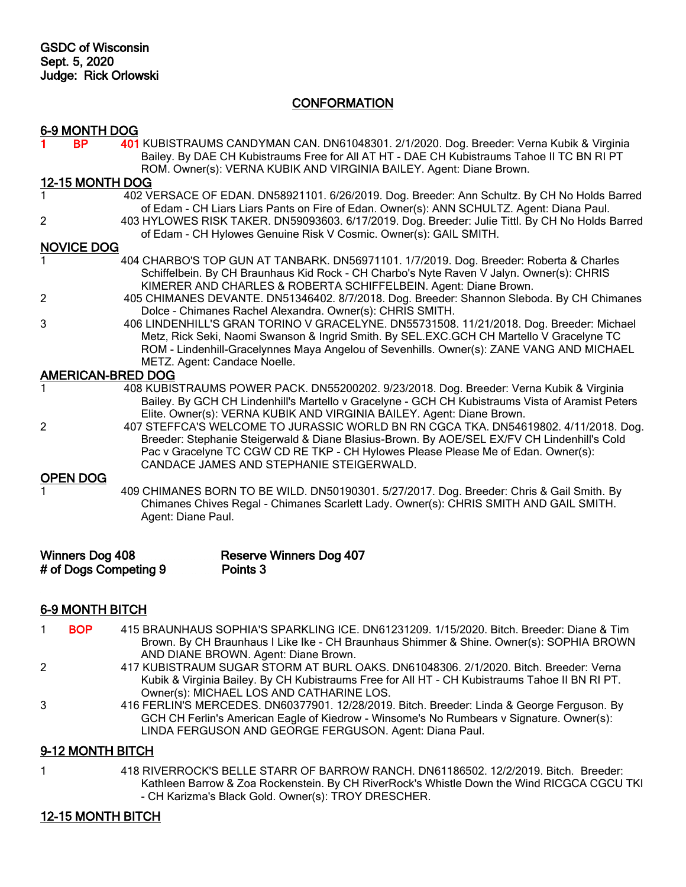## **CONFORMATION**

|                          | 6-9 MONTH DOG          |                                                                                                                                                                                                                                                                                                                     |  |  |
|--------------------------|------------------------|---------------------------------------------------------------------------------------------------------------------------------------------------------------------------------------------------------------------------------------------------------------------------------------------------------------------|--|--|
|                          | <b>BP</b>              | 401 KUBISTRAUMS CANDYMAN CAN. DN61048301. 2/1/2020. Dog. Breeder: Verna Kubik & Virginia<br>Bailey. By DAE CH Kubistraums Free for All AT HT - DAE CH Kubistraums Tahoe II TC BN RI PT<br>ROM. Owner(s): VERNA KUBIK AND VIRGINIA BAILEY. Agent: Diane Brown.                                                       |  |  |
|                          | <b>12-15 MONTH DOG</b> |                                                                                                                                                                                                                                                                                                                     |  |  |
|                          |                        | 402 VERSACE OF EDAN. DN58921101. 6/26/2019. Dog. Breeder: Ann Schultz. By CH No Holds Barred<br>of Edam - CH Liars Liars Pants on Fire of Edan. Owner(s): ANN SCHULTZ. Agent: Diana Paul.                                                                                                                           |  |  |
| 2                        |                        | 403 HYLOWES RISK TAKER. DN59093603. 6/17/2019. Dog. Breeder: Julie Tittl. By CH No Holds Barred<br>of Edam - CH Hylowes Genuine Risk V Cosmic. Owner(s): GAIL SMITH.                                                                                                                                                |  |  |
|                          | <b>NOVICE DOG</b>      |                                                                                                                                                                                                                                                                                                                     |  |  |
|                          |                        | 404 CHARBO'S TOP GUN AT TANBARK. DN56971101. 1/7/2019. Dog. Breeder: Roberta & Charles<br>Schiffelbein. By CH Braunhaus Kid Rock - CH Charbo's Nyte Raven V Jalyn. Owner(s): CHRIS<br>KIMERER AND CHARLES & ROBERTA SCHIFFELBEIN. Agent: Diane Brown.                                                               |  |  |
| 2                        |                        | 405 CHIMANES DEVANTE. DN51346402. 8/7/2018. Dog. Breeder: Shannon Sleboda. By CH Chimanes<br>Dolce - Chimanes Rachel Alexandra. Owner(s): CHRIS SMITH.                                                                                                                                                              |  |  |
| 3                        |                        | 406 LINDENHILL'S GRAN TORINO V GRACELYNE. DN55731508. 11/21/2018. Dog. Breeder: Michael<br>Metz, Rick Seki, Naomi Swanson & Ingrid Smith. By SEL.EXC.GCH CH Martello V Gracelyne TC<br>ROM - Lindenhill-Gracelynnes Maya Angelou of Sevenhills. Owner(s): ZANE VANG AND MICHAEL<br>METZ. Agent: Candace Noelle.     |  |  |
| <b>AMERICAN-BRED DOG</b> |                        |                                                                                                                                                                                                                                                                                                                     |  |  |
| 1                        |                        | 408 KUBISTRAUMS POWER PACK. DN55200202. 9/23/2018. Dog. Breeder: Verna Kubik & Virginia<br>Bailey. By GCH CH Lindenhill's Martello v Gracelyne - GCH CH Kubistraums Vista of Aramist Peters<br>Elite. Owner(s): VERNA KUBIK AND VIRGINIA BAILEY. Agent: Diane Brown.                                                |  |  |
| $\overline{2}$           |                        | 407 STEFFCA'S WELCOME TO JURASSIC WORLD BN RN CGCA TKA. DN54619802. 4/11/2018. Dog.<br>Breeder: Stephanie Steigerwald & Diane Blasius-Brown. By AOE/SEL EX/FV CH Lindenhill's Cold<br>Pac v Gracelyne TC CGW CD RE TKP - CH Hylowes Please Please Me of Edan. Owner(s):<br>CANDACE JAMES AND STEPHANIE STEIGERWALD. |  |  |
|                          | <b>OPEN DOG</b>        |                                                                                                                                                                                                                                                                                                                     |  |  |
|                          |                        | 409 CHIMANES BORN TO BE WILD. DN50190301. 5/27/2017. Dog. Breeder: Chris & Gail Smith. By<br>Chimanes Chives Regal - Chimanes Scarlett Lady. Owner(s): CHRIS SMITH AND GAIL SMITH.<br>Agent: Diane Paul.                                                                                                            |  |  |
|                          | <b>Winners Dog 408</b> | <b>Reserve Winners Dog 407</b><br># of Dogs Competing 9<br>Points <sub>3</sub>                                                                                                                                                                                                                                      |  |  |

# 6-9 MONTH BITCH

- 1 BOP 415 BRAUNHAUS SOPHIA'S SPARKLING ICE. DN61231209. 1/15/2020. Bitch. Breeder: Diane & Tim Brown. By CH Braunhaus I Like Ike - CH Braunhaus Shimmer & Shine. Owner(s): SOPHIA BROWN AND DIANE BROWN. Agent: Diane Brown.
- 2 417 KUBISTRAUM SUGAR STORM AT BURL OAKS. DN61048306. 2/1/2020. Bitch. Breeder: Verna Kubik & Virginia Bailey. By CH Kubistraums Free for All HT - CH Kubistraums Tahoe II BN RI PT. Owner(s): MICHAEL LOS AND CATHARINE LOS.
- 3 416 FERLIN'S MERCEDES. DN60377901. 12/28/2019. Bitch. Breeder: Linda & George Ferguson. By GCH CH Ferlin's American Eagle of Kiedrow - Winsome's No Rumbears v Signature. Owner(s): LINDA FERGUSON AND GEORGE FERGUSON. Agent: Diana Paul.

### 9-12 MONTH BITCH

1 418 RIVERROCK'S BELLE STARR OF BARROW RANCH. DN61186502. 12/2/2019. Bitch. Breeder: Kathleen Barrow & Zoa Rockenstein. By CH RiverRock's Whistle Down the Wind RICGCA CGCU TKI - CH Karizma's Black Gold. Owner(s): TROY DRESCHER.

### 12-15 MONTH BITCH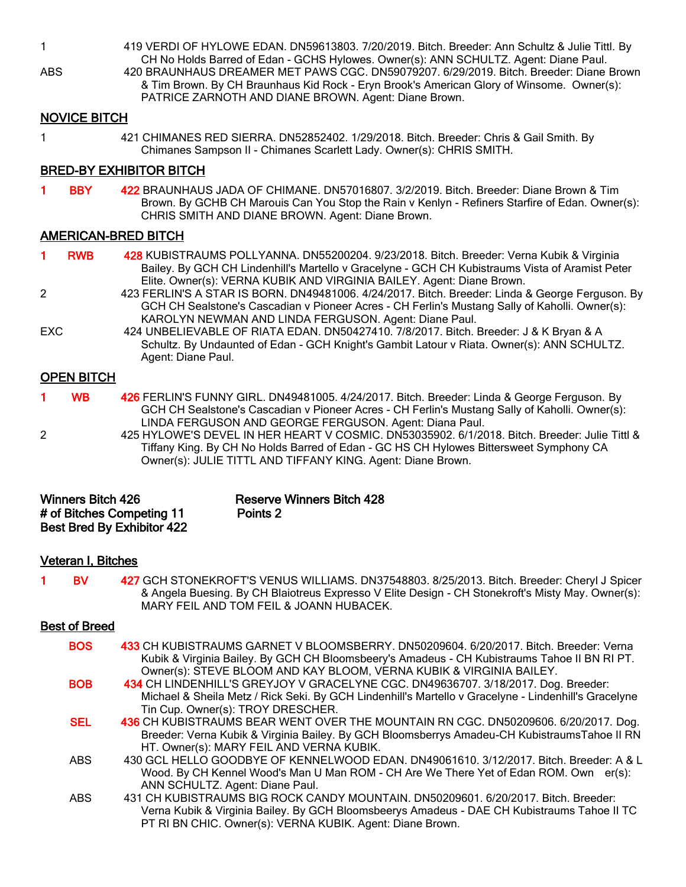1 419 VERDI OF HYLOWE EDAN. DN59613803. 7/20/2019. Bitch. Breeder: Ann Schultz & Julie Tittl. By CH No Holds Barred of Edan - GCHS Hylowes. Owner(s): ANN SCHULTZ. Agent: Diane Paul.

ABS 420 BRAUNHAUS DREAMER MET PAWS CGC. DN59079207. 6/29/2019. Bitch. Breeder: Diane Brown & Tim Brown. By CH Braunhaus Kid Rock - Eryn Brook's American Glory of Winsome. Owner(s): PATRICE ZARNOTH AND DIANE BROWN. Agent: Diane Brown.

### NOVICE BITCH

- 
- 1 421 CHIMANES RED SIERRA. DN52852402. 1/29/2018. Bitch. Breeder: Chris & Gail Smith. By Chimanes Sampson II - Chimanes Scarlett Lady. Owner(s): CHRIS SMITH.

### BRED-BY EXHIBITOR BITCH

1 BBY 422 BRAUNHAUS JADA OF CHIMANE. DN57016807. 3/2/2019. Bitch. Breeder: Diane Brown & Tim Brown. By GCHB CH Marouis Can You Stop the Rain v Kenlyn - Refiners Starfire of Edan. Owner(s): CHRIS SMITH AND DIANE BROWN. Agent: Diane Brown.

### AMERICAN-BRED BITCH

1 RWB 428 KUBISTRAUMS POLLYANNA. DN55200204. 9/23/2018. Bitch. Breeder: Verna Kubik & Virginia Bailey. By GCH CH Lindenhill's Martello v Gracelyne - GCH CH Kubistraums Vista of Aramist Peter Elite. Owner(s): VERNA KUBIK AND VIRGINIA BAILEY. Agent: Diane Brown.

- 2 423 FERLIN'S A STAR IS BORN. DN49481006. 4/24/2017. Bitch. Breeder: Linda & George Ferguson. By GCH CH Sealstone's Cascadian v Pioneer Acres - CH Ferlin's Mustang Sally of Kaholli. Owner(s): KAROLYN NEWMAN AND LINDA FERGUSON. Agent: Diane Paul.
- EXC 424 UNBELIEVABLE OF RIATA EDAN. DN50427410. 7/8/2017. Bitch. Breeder: J & K Bryan & A Schultz. By Undaunted of Edan - GCH Knight's Gambit Latour v Riata. Owner(s): ANN SCHULTZ. Agent: Diane Paul.

#### OPEN BITCH

- 1 WB 426 FERLIN'S FUNNY GIRL. DN49481005. 4/24/2017. Bitch. Breeder: Linda & George Ferguson. By GCH CH Sealstone's Cascadian v Pioneer Acres - CH Ferlin's Mustang Sally of Kaholli. Owner(s): LINDA FERGUSON AND GEORGE FERGUSON. Agent: Diana Paul.
- 2 425 HYLOWE'S DEVEL IN HER HEART V COSMIC. DN53035902. 6/1/2018. Bitch. Breeder: Julie Tittl & Tiffany King. By CH No Holds Barred of Edan - GC HS CH Hylowes Bittersweet Symphony CA Owner(s): JULIE TITTL AND TIFFANY KING. Agent: Diane Brown.

| <b>Winners Bitch 426</b>          | <b>Reserve Winners Bitch 428</b> |
|-----------------------------------|----------------------------------|
| # of Bitches Competing 11         | Points 2                         |
| <b>Best Bred By Exhibitor 422</b> |                                  |

#### Veteran I, Bitches

BV 427 GCH STONEKROFT'S VENUS WILLIAMS. DN37548803. 8/25/2013. Bitch. Breeder: Cheryl J Spicer & Angela Buesing. By CH Blaiotreus Expresso V Elite Design - CH Stonekroft's Misty May. Owner(s): MARY FEIL AND TOM FEIL & JOANN HUBACEK.

#### Best of Breed

| <b>BOS</b> | 433 CH KUBISTRAUMS GARNET V BLOOMSBERRY. DN50209604. 6/20/2017. Bitch. Breeder: Verna<br>Kubik & Virginia Bailey. By GCH CH Bloomsbeery's Amadeus - CH Kubistraums Tahoe II BN RI PT. |
|------------|---------------------------------------------------------------------------------------------------------------------------------------------------------------------------------------|
|            | Owner(s): STEVE BLOOM AND KAY BLOOM, VERNA KUBIK & VIRGINIA BAILEY.                                                                                                                   |
| <b>BOB</b> | 434 CH LINDENHILL'S GREYJOY V GRACELYNE CGC. DN49636707. 3/18/2017. Dog. Breeder:                                                                                                     |
|            | Michael & Sheila Metz / Rick Seki. By GCH Lindenhill's Martello v Gracelyne - Lindenhill's Gracelyne                                                                                  |
|            | Tin Cup. Owner(s): TROY DRESCHER.                                                                                                                                                     |
| <b>SEL</b> | 436 CH KUBISTRAUMS BEAR WENT OVER THE MOUNTAIN RN CGC. DN50209606. 6/20/2017. Dog.                                                                                                    |
|            | Breeder: Verna Kubik & Virginia Bailey. By GCH Bloomsberrys Amadeu-CH KubistraumsTahoe II RN                                                                                          |
|            | HT. Owner(s): MARY FEIL AND VERNA KUBIK.                                                                                                                                              |
| ABS.       | 430 GCL HELLO GOODBYE OF KENNELWOOD EDAN. DN49061610. 3/12/2017. Bitch. Breeder: A & L                                                                                                |
|            | Wood. By CH Kennel Wood's Man U Man ROM - CH Are We There Yet of Edan ROM. Own er(s):                                                                                                 |
|            | ANN SCHULTZ. Agent: Diane Paul.                                                                                                                                                       |
| <b>ABS</b> | 431 CH KUBISTRAUMS BIG ROCK CANDY MOUNTAIN. DN50209601. 6/20/2017. Bitch. Breeder:                                                                                                    |
|            | Verna Kubik & Virginia Bailey. By GCH Bloomsbeerys Amadeus - DAE CH Kubistraums Tahoe II TC                                                                                           |
|            | PT RI BN CHIC. Owner(s): VERNA KUBIK. Agent: Diane Brown.                                                                                                                             |